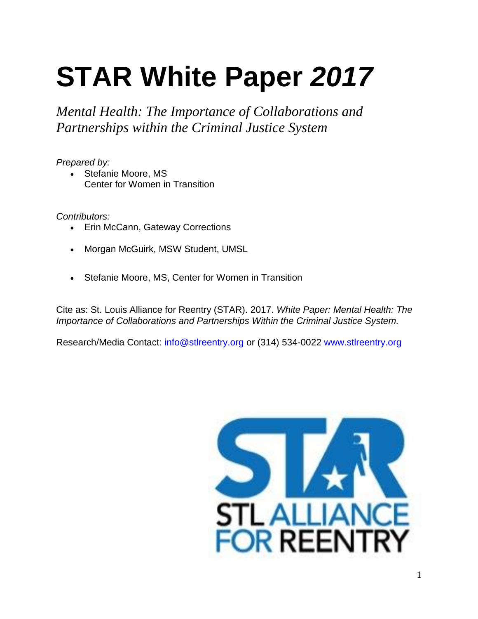# **STAR White Paper** *2017*

*Mental Health: The Importance of Collaborations and Partnerships within the Criminal Justice System*

*Prepared by:*

 Stefanie Moore, MS Center for Women in Transition

*Contributors:*

- Erin McCann, Gateway Corrections
- Morgan McGuirk, MSW Student, UMSL
- Stefanie Moore, MS, Center for Women in Transition

Cite as: St. Louis Alliance for Reentry (STAR). 2017. *White Paper: Mental Health: The Importance of Collaborations and Partnerships Within the Criminal Justice System.*

Research/Media Contact: info@stlreentry.org or (314) 534-0022 www.stlreentry.org

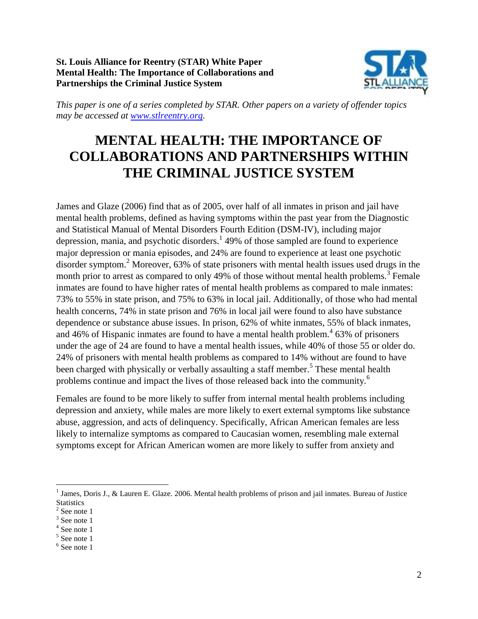**St. Louis Alliance for Reentry (STAR) White Paper Mental Health: The Importance of Collaborations and Partnerships the Criminal Justice System**



*This paper is one of a series completed by STAR. Other papers on a variety of offender topics may be accessed at [www.stlreentry.org.](file:///C:/Users/CaseManager1/Desktop/STAR/www.stlreentry.org)*

### **MENTAL HEALTH: THE IMPORTANCE OF COLLABORATIONS AND PARTNERSHIPS WITHIN THE CRIMINAL JUSTICE SYSTEM**

James and Glaze (2006) find that as of 2005, over half of all inmates in prison and jail have mental health problems, defined as having symptoms within the past year from the Diagnostic and Statistical Manual of Mental Disorders Fourth Edition (DSM-IV), including major depression, mania, and psychotic disorders. 1 49% of those sampled are found to experience major depression or mania episodes, and 24% are found to experience at least one psychotic disorder symptom.<sup>2</sup> Moreover, 63% of state prisoners with mental health issues used drugs in the month prior to arrest as compared to only 49% of those without mental health problems.<sup>3</sup> Female inmates are found to have higher rates of mental health problems as compared to male inmates: 73% to 55% in state prison, and 75% to 63% in local jail. Additionally, of those who had mental health concerns, 74% in state prison and 76% in local jail were found to also have substance dependence or substance abuse issues. In prison, 62% of white inmates, 55% of black inmates, and 46% of Hispanic inmates are found to have a mental health problem.<sup>4</sup> 63% of prisoners under the age of 24 are found to have a mental health issues, while 40% of those 55 or older do. 24% of prisoners with mental health problems as compared to 14% without are found to have been charged with physically or verbally assaulting a staff member.<sup>5</sup> These mental health problems continue and impact the lives of those released back into the community.<sup>6</sup>

Females are found to be more likely to suffer from internal mental health problems including depression and anxiety, while males are more likely to exert external symptoms like substance abuse, aggression, and acts of delinquency. Specifically, African American females are less likely to internalize symptoms as compared to Caucasian women, resembling male external symptoms except for African American women are more likely to suffer from anxiety and

<sup>&</sup>lt;sup>1</sup> James, Doris J., & Lauren E. Glaze. 2006. Mental health problems of prison and jail inmates. Bureau of Justice **Statistics** 

 $2$  See note 1

<sup>&</sup>lt;sup>3</sup> See note 1

<sup>4</sup> See note 1

<sup>5</sup> See note 1

<sup>6</sup> See note 1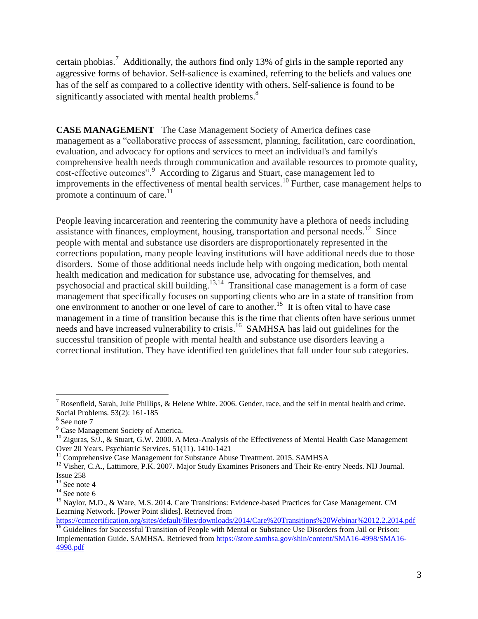certain phobias.<sup>7</sup> Additionally, the authors find only 13% of girls in the sample reported any aggressive forms of behavior. Self-salience is examined, referring to the beliefs and values one has of the self as compared to a collective identity with others. Self-salience is found to be significantly associated with mental health problems.<sup>8</sup>

**CASE MANAGEMENT** The Case Management Society of America defines case management as a "collaborative process of assessment, planning, facilitation, care coordination, evaluation, and advocacy for options and services to meet an individual's and family's comprehensive health needs through communication and available resources to promote quality, cost-effective outcomes". <sup>9</sup> According to Zigarus and Stuart, case management led to improvements in the effectiveness of mental health services.<sup>10</sup> Further, case management helps to promote a continuum of care.<sup>11</sup>

People leaving incarceration and reentering the community have a plethora of needs including assistance with finances, employment, housing, transportation and personal needs.<sup>12</sup> Since people with mental and substance use disorders are disproportionately represented in the corrections population, many people leaving institutions will have additional needs due to those disorders. Some of those additional needs include help with ongoing medication, both mental health medication and medication for substance use, advocating for themselves, and psychosocial and practical skill building.<sup>13,14</sup> Transitional case management is a form of case management that specifically focuses on supporting clients who are in a state of transition from one environment to another or one level of care to another.<sup>15</sup> It is often vital to have case management in a time of transition because this is the time that clients often have serious unmet needs and have increased vulnerability to crisis.<sup>16</sup> SAMHSA has laid out guidelines for the successful transition of people with mental health and substance use disorders leaving a correctional institution. They have identified ten guidelines that fall under four sub categories.

 $\overline{a}$ 

<https://ccmcertification.org/sites/default/files/downloads/2014/Care%20Transitions%20Webinar%2012.2.2014.pdf>

<sup>7</sup> Rosenfield, Sarah, Julie Phillips, & Helene White. 2006. Gender, race, and the self in mental health and crime. Social Problems. 53(2): 161-185

<sup>8</sup> See note 7

<sup>&</sup>lt;sup>9</sup> Case Management Society of America.

<sup>&</sup>lt;sup>10</sup> Ziguras, S/J., & Stuart, G.W. 2000. A Meta-Analysis of the Effectiveness of Mental Health Case Management Over 20 Years. Psychiatric Services. 51(11). 1410-1421

<sup>&</sup>lt;sup>11</sup> Comprehensive Case Management for Substance Abuse Treatment. 2015. SAMHSA

<sup>&</sup>lt;sup>12</sup> Visher, C.A., Lattimore, P.K. 2007. Major Study Examines Prisoners and Their Re-entry Needs. NIJ Journal. Issue 258

 $13$  See note 4

 $14$  See note 6

<sup>&</sup>lt;sup>15</sup> Naylor, M.D., & Ware, M.S. 2014. Care Transitions: Evidence-based Practices for Case Management. CM Learning Network. [Power Point slides]. Retrieved from

<sup>&</sup>lt;sup>16</sup> Guidelines for Successful Transition of People with Mental or Substance Use Disorders from Jail or Prison: Implementation Guide. SAMHSA. Retrieved from [https://store.samhsa.gov/shin/content/SMA16-4998/SMA16-](https://store.samhsa.gov/shin/content/SMA16-4998/SMA16-4998.pdf) [4998.pdf](https://store.samhsa.gov/shin/content/SMA16-4998/SMA16-4998.pdf)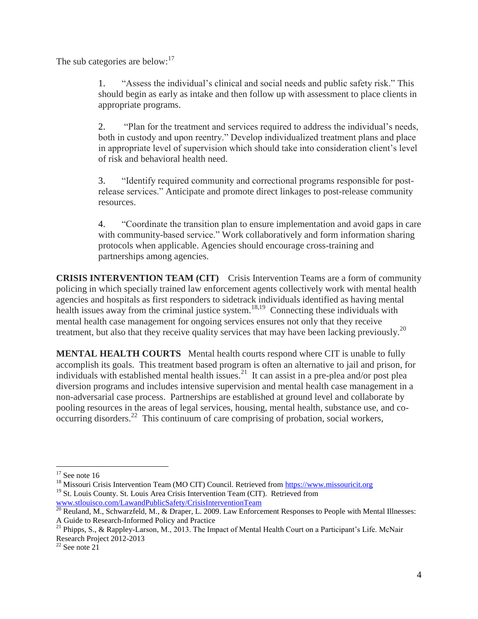The sub categories are below: $17$ 

1. "Assess the individual's clinical and social needs and public safety risk." This should begin as early as intake and then follow up with assessment to place clients in appropriate programs.

2. "Plan for the treatment and services required to address the individual's needs, both in custody and upon reentry." Develop individualized treatment plans and place in appropriate level of supervision which should take into consideration client's level of risk and behavioral health need.

3. "Identify required community and correctional programs responsible for postrelease services." Anticipate and promote direct linkages to post-release community resources.

4. "Coordinate the transition plan to ensure implementation and avoid gaps in care with community-based service." Work collaboratively and form information sharing protocols when applicable. Agencies should encourage cross-training and partnerships among agencies.

**CRISIS INTERVENTION TEAM (CIT)** Crisis Intervention Teams are a form of community policing in which specially trained law enforcement agents collectively work with mental health agencies and hospitals as first responders to sidetrack individuals identified as having mental health issues away from the criminal justice system.<sup>18,19</sup> Connecting these individuals with mental health case management for ongoing services ensures not only that they receive treatment, but also that they receive quality services that may have been lacking previously.<sup>20</sup>

**MENTAL HEALTH COURTS** Mental health courts respond where CIT is unable to fully accomplish its goals. This treatment based program is often an alternative to jail and prison, for individuals with established mental health issues.<sup>21</sup> It can assist in a pre-plea and/or post plea diversion programs and includes intensive supervision and mental health case management in a non-adversarial case process. Partnerships are established at ground level and collaborate by pooling resources in the areas of legal services, housing, mental health, substance use, and cooccurring disorders.<sup>22</sup> This continuum of care comprising of probation, social workers,

 $\overline{a}$  $17$  See note 16

<sup>&</sup>lt;sup>18</sup> Missouri Crisis Intervention Team (MO CIT) Council. Retrieved from [https://www.missouricit.org](https://www.missouricit.org/) <sup>19</sup> St. Louis County. St. Louis Area Crisis Intervention Team (CIT). Retrieved from [www.stlouisco.com/LawandPublicSafety/CrisisInterventionTeam](http://www.stlouisco.com/LawandPublicSafety/CrisisInterventionTeam)

 $^{20}$  Reuland, M., Schwarzfeld, M., & Draper, L. 2009. Law Enforcement Responses to People with Mental Illnesses: A Guide to Research-Informed Policy and Practice

<sup>&</sup>lt;sup>21</sup> Phipps, S., & Rappley-Larson, M., 2013. The Impact of Mental Health Court on a Participant's Life. McNair

Research Project 2012-2013

 $22$  See note 21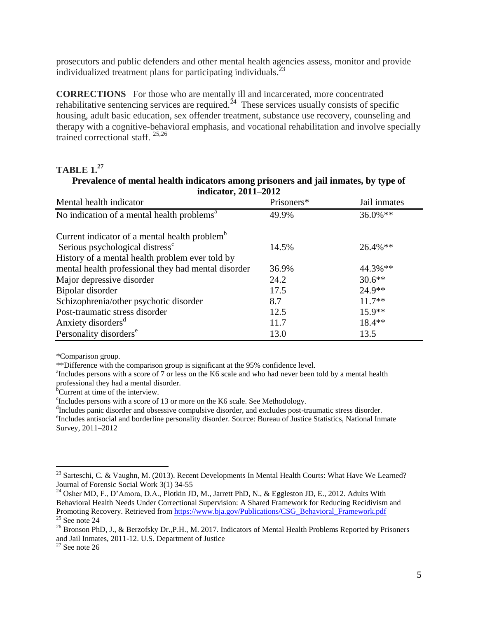prosecutors and public defenders and other mental health agencies assess, monitor and provide individualized treatment plans for participating individuals. $^{23}$ 

**CORRECTIONS** For those who are mentally ill and incarcerated, more concentrated rehabilitative sentencing services are required.<sup>24</sup> These services usually consists of specific housing, adult basic education, sex offender treatment, substance use recovery, counseling and therapy with a cognitive-behavioral emphasis, and vocational rehabilitation and involve specially trained correctional staff. 25,26

#### **TABLE 1.<sup>27</sup>**

#### **Prevalence of mental health indicators among prisoners and jail inmates, by type of indicator, 2011–2012**

| $\frac{1}{4}$                                             |            |              |  |  |  |
|-----------------------------------------------------------|------------|--------------|--|--|--|
| Mental health indicator                                   | Prisoners* | Jail inmates |  |  |  |
| No indication of a mental health problems <sup>a</sup>    | 49.9%      | $36.0\%**$   |  |  |  |
| Current indicator of a mental health problem <sup>b</sup> |            |              |  |  |  |
| Serious psychological distress <sup>c</sup>               | 14.5%      | 26.4%**      |  |  |  |
| History of a mental health problem ever told by           |            |              |  |  |  |
| mental health professional they had mental disorder       | 36.9%      | 44.3%**      |  |  |  |
| Major depressive disorder                                 | 24.2       | $30.6**$     |  |  |  |
| Bipolar disorder                                          | 17.5       | 24.9**       |  |  |  |
| Schizophrenia/other psychotic disorder                    | 8.7        | $11.7**$     |  |  |  |
| Post-traumatic stress disorder                            | 12.5       | $15.9**$     |  |  |  |
| Anxiety disorders <sup>d</sup>                            | 11.7       | $18.4**$     |  |  |  |
| Personality disorders <sup>e</sup>                        | 13.0       | 13.5         |  |  |  |

\*Comparison group.

\*\*Difference with the comparison group is significant at the 95% confidence level.

<sup>a</sup>Includes persons with a score of 7 or less on the K6 scale and who had never been told by a mental health professional they had a mental disorder.

 $\rm^{6}$ Current at time of the interview.

c Includes persons with a score of 13 or more on the K6 scale. See Methodology.

<sup>d</sup>Includes panic disorder and obsessive compulsive disorder, and excludes post-traumatic stress disorder. e Includes antisocial and borderline personality disorder. Source: Bureau of Justice Statistics, National Inmate Survey, 2011–2012

<sup>&</sup>lt;sup>23</sup> Sarteschi, C. & Vaughn, M. (2013). Recent Developments In Mental Health Courts: What Have We Learned? Journal of Forensic Social Work 3(1) 34-55

<sup>&</sup>lt;sup>24</sup> Osher MD, F., D'Amora, D.A., Plotkin JD, M., Jarrett PhD, N., & Eggleston JD, E., 2012. Adults With Behavioral Health Needs Under Correctional Supervision: A Shared Framework for Reducing Recidivism and Promoting Recovery. Retrieved from [https://www.bja.gov/Publications/CSG\\_Behavioral\\_Framework.pdf](https://www.bja.gov/Publications/CSG_Behavioral_Framework.pdf)  $25$  See note 24

<sup>&</sup>lt;sup>26</sup> Bronson PhD, J., & Berzofsky Dr., P.H., M. 2017. Indicators of Mental Health Problems Reported by Prisoners and Jail Inmates, 2011-12. U.S. Department of Justice

 $27$  See note 26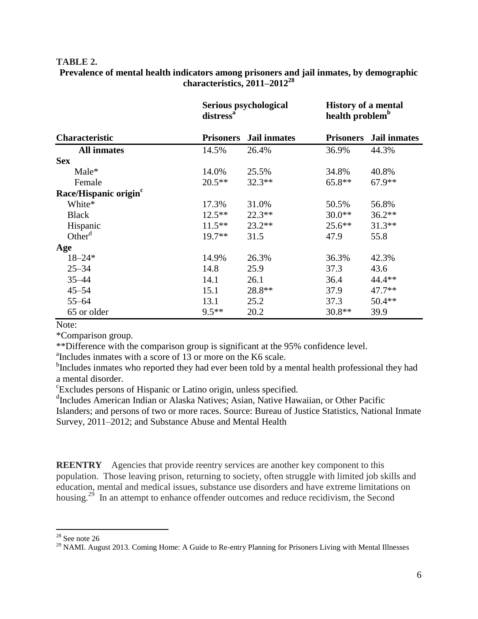#### **TABLE 2.**

#### **Prevalence of mental health indicators among prisoners and jail inmates, by demographic characteristics, 2011–2012<sup>28</sup>**

| <b>Characteristic</b>             | distress <sup>a</sup> | Serious psychological |                  | <b>History of a mental</b><br>health problem <sup>b</sup> |  |
|-----------------------------------|-----------------------|-----------------------|------------------|-----------------------------------------------------------|--|
|                                   | <b>Prisoners</b>      | <b>Jail inmates</b>   | <b>Prisoners</b> | Jail inmates                                              |  |
| <b>All inmates</b>                | 14.5%                 | 26.4%                 | 36.9%            | 44.3%                                                     |  |
| <b>Sex</b>                        |                       |                       |                  |                                                           |  |
| Male*                             | 14.0%                 | 25.5%                 | 34.8%            | 40.8%                                                     |  |
| Female                            | $20.5**$              | $32.3**$              | $65.8**$         | $67.9**$                                                  |  |
| Race/Hispanic origin <sup>c</sup> |                       |                       |                  |                                                           |  |
| White*                            | 17.3%                 | 31.0%                 | 50.5%            | 56.8%                                                     |  |
| <b>Black</b>                      | $12.5***$             | $22.3**$              | $30.0**$         | $36.2**$                                                  |  |
| Hispanic                          | $11.5***$             | $23.2**$              | $25.6***$        | $31.3**$                                                  |  |
| Other $d$                         | $19.7**$              | 31.5                  | 47.9             | 55.8                                                      |  |
| Age                               |                       |                       |                  |                                                           |  |
| $18 - 24*$                        | 14.9%                 | 26.3%                 | 36.3%            | 42.3%                                                     |  |
| $25 - 34$                         | 14.8                  | 25.9                  | 37.3             | 43.6                                                      |  |
| $35 - 44$                         | 14.1                  | 26.1                  | 36.4             | 44.4 **                                                   |  |
| $45 - 54$                         | 15.1                  | 28.8**                | 37.9             | $47.7**$                                                  |  |
| $55 - 64$                         | 13.1                  | 25.2                  | 37.3             | $50.4**$                                                  |  |
| 65 or older                       | $9.5***$              | 20.2                  | $30.8**$         | 39.9                                                      |  |

Note:

\*Comparison group.

\*\*Difference with the comparison group is significant at the 95% confidence level.

<sup>a</sup>Includes inmates with a score of 13 or more on the K6 scale.

<sup>b</sup>Includes inmates who reported they had ever been told by a mental health professional they had a mental disorder.

c Excludes persons of Hispanic or Latino origin, unless specified.

d Includes American Indian or Alaska Natives; Asian, Native Hawaiian, or Other Pacific Islanders; and persons of two or more races. Source: Bureau of Justice Statistics, National Inmate Survey, 2011–2012; and Substance Abuse and Mental Health

**REENTRY** Agencies that provide reentry services are another key component to this population. Those leaving prison, returning to society, often struggle with limited job skills and education, mental and medical issues, substance use disorders and have extreme limitations on housing.<sup>29</sup> In an attempt to enhance offender outcomes and reduce recidivism, the Second

 $28$  See note 26

<sup>&</sup>lt;sup>29</sup> NAMI. August 2013. Coming Home: A Guide to Re-entry Planning for Prisoners Living with Mental Illnesses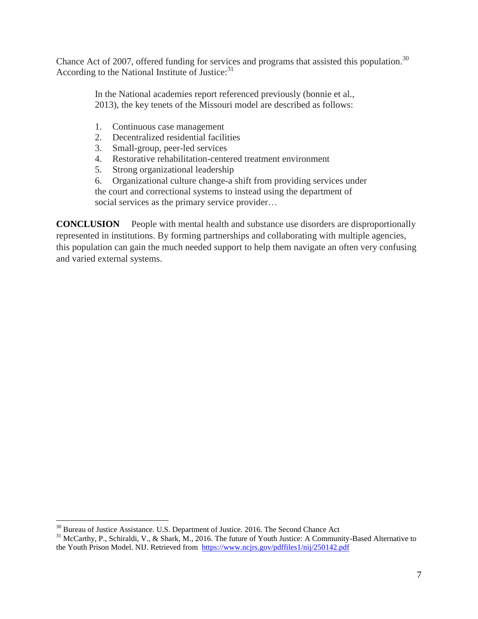Chance Act of 2007, offered funding for services and programs that assisted this population.<sup>30</sup> According to the National Institute of Justice: $31$ 

> In the National academies report referenced previously (bonnie et al., 2013), the key tenets of the Missouri model are described as follows:

- 1. Continuous case management
- 2. Decentralized residential facilities
- 3. Small-group, peer-led services
- 4. Restorative rehabilitation-centered treatment environment
- 5. Strong organizational leadership
- 6. Organizational culture change-a shift from providing services under

the court and correctional systems to instead using the department of social services as the primary service provider...

**CONCLUSION** People with mental health and substance use disorders are disproportionally represented in institutions. By forming partnerships and collaborating with multiple agencies, this population can gain the much needed support to help them navigate an often very confusing and varied external systems.

 $30$  Bureau of Justice Assistance. U.S. Department of Justice. 2016. The Second Chance Act

<sup>&</sup>lt;sup>31</sup> McCarthy, P., Schiraldi, V., & Shark, M., 2016. The future of Youth Justice: A Community-Based Alternative to the Youth Prison Model. NIJ. Retrieved from<https://www.ncjrs.gov/pdffiles1/nij/250142.pdf>